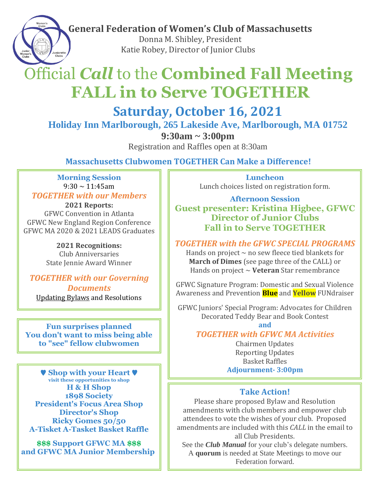**General Federation of Women's Club of Massachusetts**

 Donna M. Shibley, President Katie Robey, Director of Junior Clubs

# Official *Call* to the **Combined Fall Meeting FALL in to Serve TOGETHER**

**Saturday, October 16, 2021**

**Holiday Inn Marlborough, 265 Lakeside Ave, Marlborough, MA 01752**

**9:30am ~ 3:00pm**

Registration and Raffles open at 8:30am

**Massachusetts Clubwomen TOGETHER Can Make a Difference!**

#### **Morning Session**  $9:30 \sim 11:45$ am

*TOGETHER with our Members*

**2021 Reports:**  GFWC Convention in Atlanta GFWC New England Region Conference GFWC MA 2020 & 2021 LEADS Graduates

> **2021 Recognitions:** Club Anniversaries State Jennie Award Winner

## *TOGETHER with our Governing*

*Documents* Updating Bylaws and Resolutions

**Fun surprises planned You don't want to miss being able to "see" fellow clubwomen**

♥ **Shop with your Heart** ♥ **visit these opportunities to shop H & H Shop 1898 Society President's Focus Area Shop Director's Shop Ricky Gomes 50/50 A-Tisket A-Tasket Basket Raffle**

**\$\$\$ Support GFWC MA \$\$\$ and GFWC MA Junior Membership** 

**Luncheon** Lunch choices listed on registration form.

**Afternoon Session Guest presenter: Kristina Higbee, GFWC Director of Junior Clubs Fall in to Serve TOGETHER**

*TOGETHER with the GFWC SPECIAL PROGRAMS*

Hands on project  $\sim$  no sew fleece tied blankets for **March of Dimes** (see page three of the CALL) or Hands on project ~ **Veteran** Star remembrance

GFWC Signature Program: Domestic and Sexual Violence Awareness and Prevention **Blue** and **Yellow** FUNdraiser

GFWC Juniors' Special Program: Advocates for Children Decorated Teddy Bear and Book Contest

**and**

### *TOGETHER with GFWC MA Activities*

Chairmen Updates Reporting Updates Basket Raffles **Adjournment- 3:00pm**

### **Take Action!**

Please share proposed Bylaw and Resolution amendments with club members and empower club attendees to vote the wishes of your club. Proposed amendments are included with this *CALL* in the email to all Club Presidents.

See the *Club Manual* for your club's delegate numbers. A **quorum** is needed at State Meetings to move our Federation forward.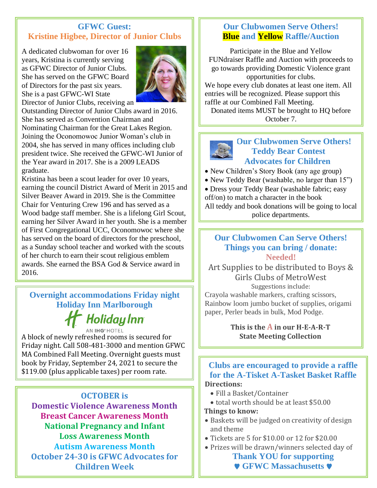#### **GFWC Guest: Kristine Higbee, Director of Junior Clubs**

A dedicated clubwoman for over 16 years, Kristina is currently serving as GFWC Director of Junior Clubs. She has served on the GFWC Board of Directors for the past six years. She is a past GFWC-WI State Director of Junior Clubs, receiving an



Outstanding Director of Junior Clubs award in 2016. She has served as Convention Chairman and Nominating Chairman for the Great Lakes Region. Joining the Oconomowoc Junior Woman's club in 2004, she has served in many offices including club president twice. She received the GFWC-WI Junior of the Year award in 2017. She is a 2009 LEADS graduate.

Kristina has been a scout leader for over 10 years, earning the council District Award of Merit in 2015 and Silver Beaver Award in 2019. She is the Committee Chair for Venturing Crew 196 and has served as a Wood badge staff member. She is a lifelong Girl Scout, earning her Silver Award in her youth. She is a member of First Congregational UCC, Oconomowoc where she has served on the board of directors for the preschool, as a Sunday school teacher and worked with the scouts of her church to earn their scout religious emblem awards. She earned the BSA God & Service award in 2016.

 $\overline{\phantom{a}}$  and  $\overline{\phantom{a}}$  are accomplished as a accomplished artist and photographer. **Overnight accommodations Friday night Holiday Inn Marlborough** 

# Moliday Inn

wonderful children with whom they enjoy many children with whom they enjoy many  $\sim$ A block of newly refreshed rooms is secured for Friday night. Call 508-481-3000 and mention GFWC \$119.00 (plus applicable taxes) per room rate. MA Combined Fall Meeting. Overnight guests must book by Friday, September 24, 2021 to secure the

Kristina

### **OCTOBER is Domestic Violence Awareness Month Breast Cancer Awareness Month National Pregnancy and Infant Loss Awareness Month Autism Awareness Month October 24-30 is GFWC Advocates for Children Week**

## **Our Clubwomen Serve Others! Blue and Yellow Raffle/Auction**

Participate in the Blue and Yellow FUNdraiser Raffle and Auction with proceeds to go towards providing Domestic Violence grant opportunities for clubs.

We hope every club donates at least one item. All entries will be recognized. Please support this raffle at our Combined Fall Meeting.

Donated items MUST be brought to HQ before October 7.



#### **Our Clubwomen Serve Others! Teddy Bear Contest Advocates for Children**

• New Children's Story Book (any age group)

• New Teddy Bear (washable, no larger than 15")

• Dress your Teddy Bear (washable fabric; easy

off/on) to match a character in the book

All teddy and book donations will be going to local police departments.

#### **Our Clubwomen Can Serve Others! Things you can bring / donate: Needed!**

Art Supplies to be distributed to Boys & Girls Clubs of MetroWest Suggestions include:

Crayola washable markers, crafting scissors, Rainbow loom jumbo bucket of supplies, origami paper, Perler beads in bulk, Mod Podge.

> **This is the A in our H-E-A-R-T State Meeting Collection**

#### **Clubs are encouraged to provide a raffle for the A-Tisket A-Tasket Basket Raffle Directions:**

- Fill a Basket/Container
- total worth should be at least \$50.00

#### **Things to know:**

- Baskets will be judged on creativity of design and theme
- Tickets are 5 for \$10.00 or 12 for \$20.00
- Prizes will be drawn/winners selected day of

**Thank YOU for supporting** ♥ **GFWC Massachusetts** ♥